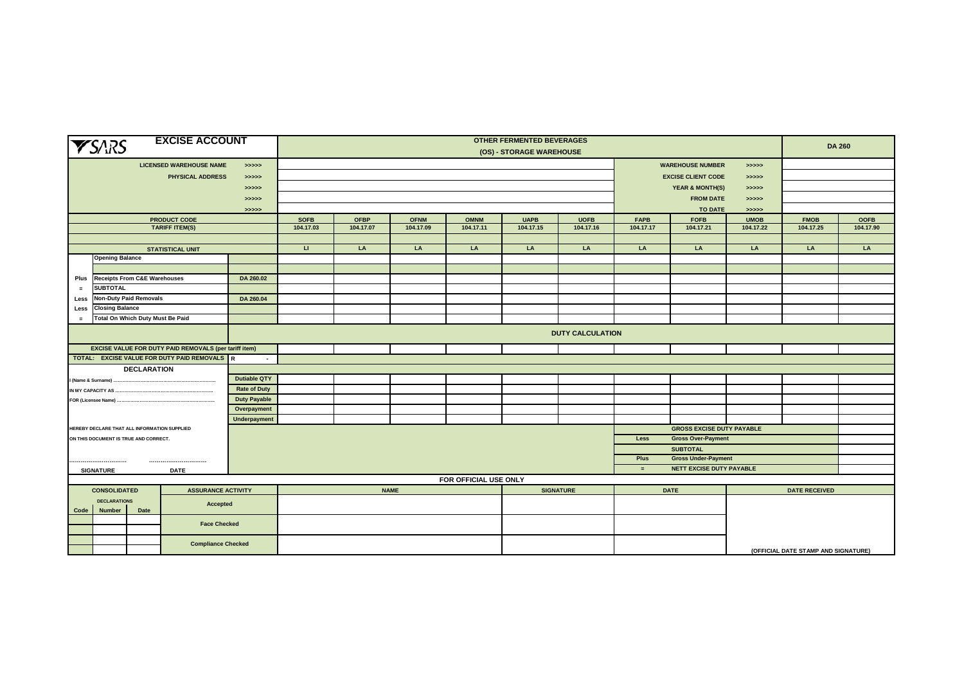| <b>EXCISE ACCOUNT</b><br><b>YSARS</b>        |                               |                                              |                                                              | <b>OTHER FERMENTED BEVERAGES</b><br>(OS) - STORAGE WAREHOUSE |                                  |                                        |             |                       |             |                  |                                       |                                                               | <b>DA 260</b> |                                     |             |  |
|----------------------------------------------|-------------------------------|----------------------------------------------|--------------------------------------------------------------|--------------------------------------------------------------|----------------------------------|----------------------------------------|-------------|-----------------------|-------------|------------------|---------------------------------------|---------------------------------------------------------------|---------------|-------------------------------------|-------------|--|
|                                              |                               |                                              | <b>LICENSED WAREHOUSE NAME</b>                               | > >> > >                                                     | <b>WAREHOUSE NUMBER</b><br>>>>>> |                                        |             |                       |             |                  |                                       |                                                               |               |                                     |             |  |
|                                              |                               |                                              | <b>PHYSICAL ADDRESS</b>                                      | > >> > >                                                     |                                  |                                        |             |                       |             |                  | <b>EXCISE CLIENT CODE</b><br>> >> > > |                                                               |               |                                     |             |  |
|                                              |                               |                                              |                                                              | >>>>>                                                        |                                  | <b>YEAR &amp; MONTH(S)</b><br>> >> > > |             |                       |             |                  |                                       |                                                               |               |                                     |             |  |
|                                              |                               |                                              |                                                              | >>>>>                                                        |                                  |                                        |             |                       |             |                  |                                       | <b>FROM DATE</b><br>> >> > >                                  |               |                                     |             |  |
|                                              |                               |                                              |                                                              | >>>>>                                                        |                                  | <b>TO DATE</b><br>>>>>>                |             |                       |             |                  |                                       |                                                               |               |                                     |             |  |
|                                              |                               |                                              | <b>PRODUCT CODE</b>                                          |                                                              | <b>SOFB</b>                      | <b>OFBP</b>                            | <b>OFNM</b> | <b>OMNM</b>           | <b>UAPB</b> | <b>UOFB</b>      | <b>FAPB</b>                           | <b>FOFB</b>                                                   | <b>UMOB</b>   | <b>FMOB</b>                         | <b>OOFB</b> |  |
|                                              |                               |                                              | <b>TARIFF ITEM(S)</b>                                        |                                                              | 104.17.03                        | 104.17.07                              | 104.17.09   | 104.17.11             | 104.17.15   | 104.17.16        | 104.17.17                             | 104.17.21                                                     | 104.17.22     | 104.17.25                           | 104.17.90   |  |
|                                              |                               |                                              |                                                              |                                                              |                                  |                                        |             |                       |             |                  |                                       |                                                               |               |                                     |             |  |
|                                              |                               |                                              | <b>STATISTICAL UNIT</b>                                      |                                                              | $\mathbf{H}$                     | LA                                     | LA          | LA                    | LA          | LA               | LA                                    | LA                                                            | LA            | LA                                  | LA          |  |
|                                              | <b>Opening Balance</b>        |                                              |                                                              |                                                              |                                  |                                        |             |                       |             |                  |                                       |                                                               |               |                                     |             |  |
|                                              |                               |                                              |                                                              |                                                              |                                  |                                        |             |                       |             |                  |                                       |                                                               |               |                                     |             |  |
| Plus                                         |                               | <b>Receipts From C&amp;E Warehouses</b>      |                                                              | DA 260.02                                                    |                                  |                                        |             |                       |             |                  |                                       |                                                               |               |                                     |             |  |
| $=$                                          | <b>SUBTOTAL</b>               |                                              |                                                              |                                                              |                                  |                                        |             |                       |             |                  |                                       |                                                               |               |                                     |             |  |
| Less                                         |                               | Non-Duty Paid Removals                       |                                                              | DA 260.04                                                    |                                  |                                        |             |                       |             |                  |                                       |                                                               |               |                                     |             |  |
| Less                                         | <b>Closing Balance</b>        |                                              |                                                              |                                                              |                                  |                                        |             |                       |             |                  |                                       |                                                               |               |                                     |             |  |
| Total On Which Duty Must Be Paid<br>$\equiv$ |                               |                                              |                                                              |                                                              |                                  |                                        |             |                       |             |                  |                                       |                                                               |               |                                     |             |  |
|                                              |                               |                                              |                                                              |                                                              | <b>DUTY CALCULATION</b>          |                                        |             |                       |             |                  |                                       |                                                               |               |                                     |             |  |
|                                              |                               |                                              | <b>EXCISE VALUE FOR DUTY PAID REMOVALS (per tariff item)</b> |                                                              |                                  |                                        |             |                       |             |                  |                                       |                                                               |               |                                     |             |  |
|                                              |                               |                                              | TOTAL: EXCISE VALUE FOR DUTY PAID REMOVALS R                 | $\blacksquare$                                               |                                  |                                        |             |                       |             |                  |                                       |                                                               |               |                                     |             |  |
|                                              |                               | <b>DECLARATION</b>                           |                                                              |                                                              |                                  |                                        |             |                       |             |                  |                                       |                                                               |               |                                     |             |  |
|                                              |                               |                                              |                                                              | <b>Dutiable QTY</b>                                          |                                  |                                        |             |                       |             |                  |                                       |                                                               |               |                                     |             |  |
|                                              |                               |                                              |                                                              | <b>Rate of Duty</b>                                          |                                  |                                        |             |                       |             |                  |                                       |                                                               |               |                                     |             |  |
|                                              |                               |                                              |                                                              | <b>Duty Payable</b>                                          |                                  |                                        |             |                       |             |                  |                                       |                                                               |               |                                     |             |  |
|                                              |                               |                                              |                                                              | Overpayment                                                  |                                  |                                        |             |                       |             |                  |                                       |                                                               |               |                                     |             |  |
|                                              |                               |                                              |                                                              | <b>Underpayment</b>                                          |                                  |                                        |             |                       |             |                  |                                       |                                                               |               |                                     |             |  |
|                                              |                               | HEREBY DECLARE THAT ALL INFORMATION SUPPLIED |                                                              |                                                              |                                  |                                        |             |                       |             |                  |                                       | <b>GROSS EXCISE DUTY PAYABLE</b><br><b>Gross Over-Payment</b> |               |                                     |             |  |
|                                              |                               | ON THIS DOCUMENT IS TRUE AND CORRECT.        |                                                              |                                                              | Less                             |                                        |             |                       |             |                  |                                       |                                                               |               |                                     |             |  |
|                                              |                               |                                              |                                                              |                                                              | <b>SUBTOTAL</b>                  |                                        |             |                       |             |                  |                                       |                                                               |               |                                     |             |  |
|                                              |                               |                                              |                                                              |                                                              |                                  | Plus<br><b>Gross Under-Payment</b>     |             |                       |             |                  |                                       |                                                               |               |                                     |             |  |
|                                              | <b>SIGNATURE</b>              |                                              | <b>DATE</b>                                                  |                                                              |                                  |                                        |             |                       |             |                  | $=$                                   | NETT EXCISE DUTY PAYABLE                                      |               |                                     |             |  |
|                                              |                               |                                              |                                                              |                                                              |                                  |                                        |             | FOR OFFICIAL USE ONLY |             |                  |                                       |                                                               |               |                                     |             |  |
|                                              | <b>CONSOLIDATED</b>           |                                              | <b>ASSURANCE ACTIVITY</b>                                    |                                                              |                                  |                                        | <b>NAME</b> |                       |             | <b>SIGNATURE</b> |                                       | <b>DATE</b>                                                   |               | <b>DATE RECEIVED</b>                |             |  |
| <b>DECLARATIONS</b><br>Accepted              |                               |                                              |                                                              |                                                              |                                  |                                        |             |                       |             |                  |                                       |                                                               |               |                                     |             |  |
|                                              | <b>Number</b><br>Date<br>Code |                                              |                                                              |                                                              |                                  |                                        |             |                       |             |                  |                                       |                                                               |               |                                     |             |  |
|                                              |                               |                                              | <b>Face Checked</b>                                          |                                                              |                                  |                                        |             |                       |             |                  |                                       |                                                               |               |                                     |             |  |
|                                              |                               |                                              |                                                              |                                                              |                                  |                                        |             |                       |             |                  |                                       |                                                               |               |                                     |             |  |
|                                              |                               |                                              | <b>Compliance Checked</b>                                    |                                                              |                                  |                                        |             |                       |             |                  |                                       |                                                               |               |                                     |             |  |
|                                              |                               |                                              |                                                              |                                                              |                                  |                                        |             |                       |             |                  |                                       |                                                               |               | (OFFICIAL DATE STAMP AND SIGNATURE) |             |  |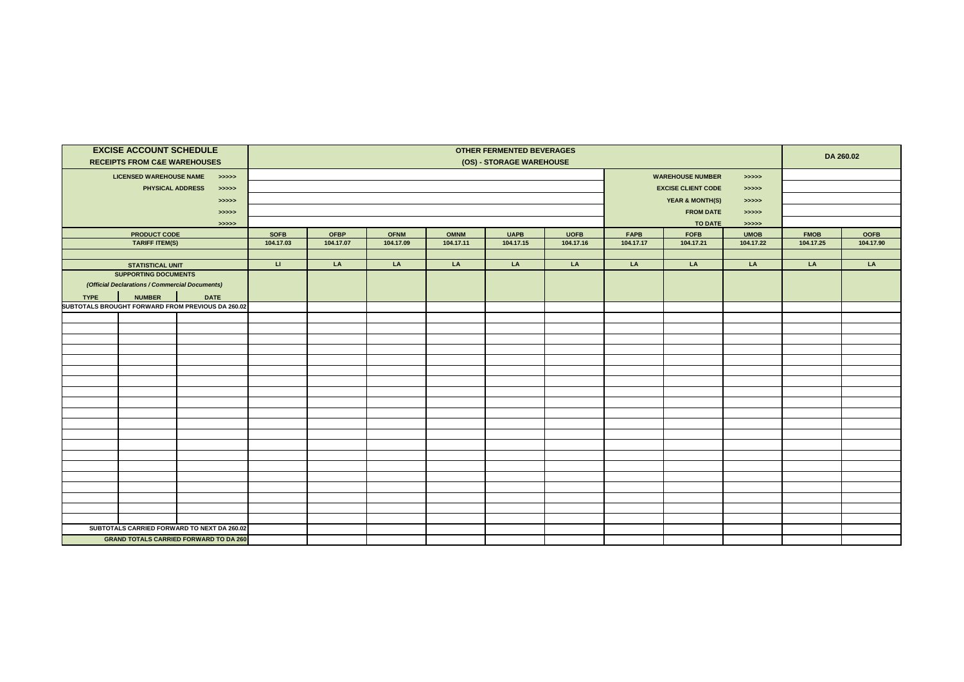|             | <b>EXCISE ACCOUNT SCHEDULE</b><br><b>RECEIPTS FROM C&amp;E WAREHOUSES</b> |                                                   | <b>OTHER FERMENTED BEVERAGES</b><br>(OS) - STORAGE WAREHOUSE |                                                            |             |             |             |             |             |                           |             | DA 260.02   |             |  |  |
|-------------|---------------------------------------------------------------------------|---------------------------------------------------|--------------------------------------------------------------|------------------------------------------------------------|-------------|-------------|-------------|-------------|-------------|---------------------------|-------------|-------------|-------------|--|--|
|             | <b>LICENSED WAREHOUSE NAME</b>                                            | > >> > > >                                        |                                                              | <b>WAREHOUSE NUMBER</b><br>> >> > > >                      |             |             |             |             |             |                           |             |             |             |  |  |
|             | <b>PHYSICAL ADDRESS</b>                                                   | > >> > >                                          |                                                              |                                                            |             |             |             |             |             | <b>EXCISE CLIENT CODE</b> |             |             |             |  |  |
|             |                                                                           | > >> > > >                                        |                                                              |                                                            |             |             |             |             |             |                           |             |             |             |  |  |
|             |                                                                           | > >> > > >                                        |                                                              | <b>YEAR &amp; MONTH(S)</b><br>> >> > ><br><b>FROM DATE</b> |             |             |             |             |             |                           |             |             |             |  |  |
|             |                                                                           | > >> > > >                                        |                                                              | > >> > ><br>TO DATE<br>> >> > >                            |             |             |             |             |             |                           |             |             |             |  |  |
|             | <b>PRODUCT CODE</b>                                                       |                                                   | <b>SOFB</b>                                                  | <b>OFBP</b>                                                | <b>OFNM</b> | <b>OMNM</b> | <b>UAPB</b> | <b>UOFB</b> | <b>FAPB</b> | <b>FOFB</b>               | <b>UMOB</b> | <b>FMOB</b> | <b>OOFB</b> |  |  |
|             | TARIFF ITEM(S)                                                            |                                                   | 104.17.03                                                    | 104.17.07                                                  | 104.17.09   | 104.17.11   | 104.17.15   | 104.17.16   | 104.17.17   | 104.17.21                 | 104.17.22   | 104.17.25   | 104.17.90   |  |  |
|             |                                                                           |                                                   |                                                              |                                                            |             |             |             |             |             |                           |             |             |             |  |  |
|             | <b>STATISTICAL UNIT</b>                                                   |                                                   | $\mathbf{u}$                                                 | LA                                                         | LA          | LA          | LA          | LA          | LA          | LA                        | LA          | LA          | LA          |  |  |
|             | <b>SUPPORTING DOCUMENTS</b>                                               |                                                   |                                                              |                                                            |             |             |             |             |             |                           |             |             |             |  |  |
|             | (Official Declarations / Commercial Documents)                            |                                                   |                                                              |                                                            |             |             |             |             |             |                           |             |             |             |  |  |
| <b>TYPE</b> | <b>NUMBER</b>                                                             | <b>DATE</b>                                       |                                                              |                                                            |             |             |             |             |             |                           |             |             |             |  |  |
|             |                                                                           | SUBTOTALS BROUGHT FORWARD FROM PREVIOUS DA 260.02 |                                                              |                                                            |             |             |             |             |             |                           |             |             |             |  |  |
|             |                                                                           |                                                   |                                                              |                                                            |             |             |             |             |             |                           |             |             |             |  |  |
|             |                                                                           |                                                   |                                                              |                                                            |             |             |             |             |             |                           |             |             |             |  |  |
|             |                                                                           |                                                   |                                                              |                                                            |             |             |             |             |             |                           |             |             |             |  |  |
|             |                                                                           |                                                   |                                                              |                                                            |             |             |             |             |             |                           |             |             |             |  |  |
|             |                                                                           |                                                   |                                                              |                                                            |             |             |             |             |             |                           |             |             |             |  |  |
|             |                                                                           |                                                   |                                                              |                                                            |             |             |             |             |             |                           |             |             |             |  |  |
|             |                                                                           |                                                   |                                                              |                                                            |             |             |             |             |             |                           |             |             |             |  |  |
|             |                                                                           |                                                   |                                                              |                                                            |             |             |             |             |             |                           |             |             |             |  |  |
|             |                                                                           |                                                   |                                                              |                                                            |             |             |             |             |             |                           |             |             |             |  |  |
|             |                                                                           |                                                   |                                                              |                                                            |             |             |             |             |             |                           |             |             |             |  |  |
|             |                                                                           |                                                   |                                                              |                                                            |             |             |             |             |             |                           |             |             |             |  |  |
|             |                                                                           |                                                   |                                                              |                                                            |             |             |             |             |             |                           |             |             |             |  |  |
|             |                                                                           |                                                   |                                                              |                                                            |             |             |             |             |             |                           |             |             |             |  |  |
|             |                                                                           |                                                   |                                                              |                                                            |             |             |             |             |             |                           |             |             |             |  |  |
|             |                                                                           |                                                   |                                                              |                                                            |             |             |             |             |             |                           |             |             |             |  |  |
|             |                                                                           |                                                   |                                                              |                                                            |             |             |             |             |             |                           |             |             |             |  |  |
|             |                                                                           |                                                   |                                                              |                                                            |             |             |             |             |             |                           |             |             |             |  |  |
|             |                                                                           |                                                   |                                                              |                                                            |             |             |             |             |             |                           |             |             |             |  |  |
|             |                                                                           |                                                   |                                                              |                                                            |             |             |             |             |             |                           |             |             |             |  |  |
|             |                                                                           | SUBTOTALS CARRIED FORWARD TO NEXT DA 260.02       |                                                              |                                                            |             |             |             |             |             |                           |             |             |             |  |  |
|             |                                                                           | <b>GRAND TOTALS CARRIED FORWARD TO DA 260</b>     |                                                              |                                                            |             |             |             |             |             |                           |             |             |             |  |  |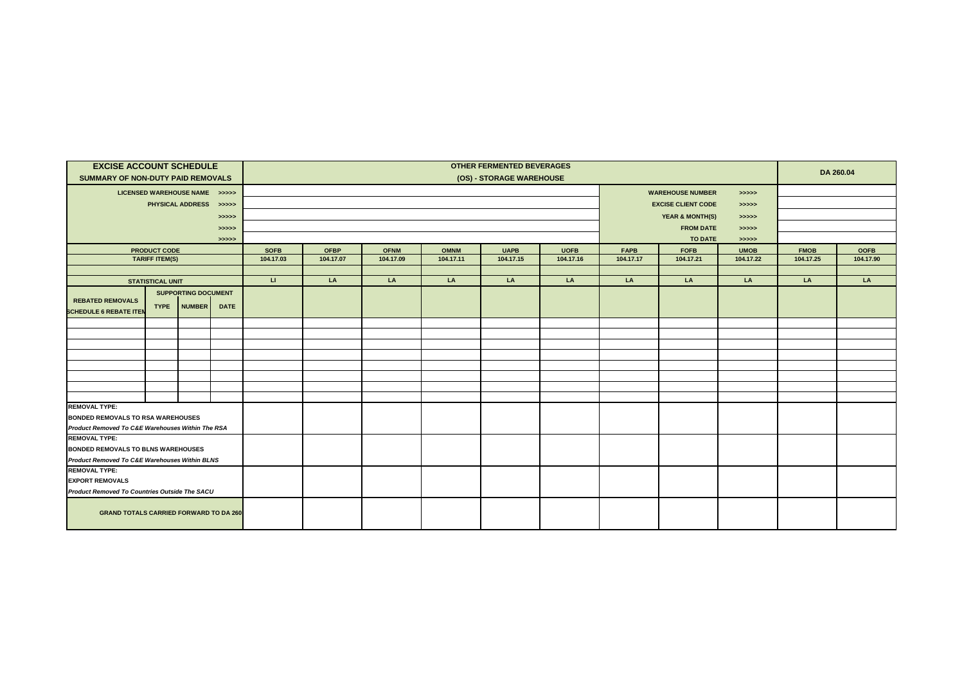| <b>EXCISE ACCOUNT SCHEDULE</b><br>SUMMARY OF NON-DUTY PAID REMOVALS                                                                   |                         |                               |       | <b>OTHER FERMENTED BEVERAGES</b><br>(OS) - STORAGE WAREHOUSE |                          |             |                                  |             |                           |             |             |             | DA 260.04   |             |  |
|---------------------------------------------------------------------------------------------------------------------------------------|-------------------------|-------------------------------|-------|--------------------------------------------------------------|--------------------------|-------------|----------------------------------|-------------|---------------------------|-------------|-------------|-------------|-------------|-------------|--|
|                                                                                                                                       |                         | LICENSED WAREHOUSE NAME >>>>> |       |                                                              |                          |             | <b>WAREHOUSE NUMBER</b><br>>>>>> |             |                           |             |             |             |             |             |  |
| PHYSICAL ADDRESS >>>>>                                                                                                                |                         |                               |       | <b>EXCISE CLIENT CODE</b><br>> >> > >                        |                          |             |                                  |             |                           |             |             |             |             |             |  |
|                                                                                                                                       |                         |                               | >>>>> |                                                              | YEAR & MONTH(S)<br>>>>>> |             |                                  |             |                           |             |             |             |             |             |  |
|                                                                                                                                       |                         |                               | >>>>> |                                                              |                          |             |                                  |             | <b>FROM DATE</b>          |             |             |             |             |             |  |
|                                                                                                                                       |                         |                               | >>>>> |                                                              |                          |             |                                  |             | >>>>><br>TO DATE<br>>>>>> |             |             |             |             |             |  |
| <b>PRODUCT CODE</b>                                                                                                                   |                         |                               |       | <b>SOFB</b>                                                  | <b>OFBP</b>              | <b>OFNM</b> | <b>OMNM</b>                      | <b>UAPB</b> | <b>UOFB</b>               | <b>FAPB</b> | <b>FOFB</b> | <b>UMOB</b> | <b>FMOB</b> | <b>OOFB</b> |  |
|                                                                                                                                       | <b>TARIFF ITEM(S)</b>   |                               |       | 104.17.03                                                    | 104.17.07                | 104.17.09   | 104.17.11                        | 104.17.15   | 104.17.16                 | 104.17.17   | 104.17.21   | 104.17.22   | 104.17.25   | 104.17.90   |  |
|                                                                                                                                       |                         |                               |       |                                                              |                          |             |                                  |             |                           |             |             |             |             |             |  |
|                                                                                                                                       | <b>STATISTICAL UNIT</b> |                               |       | $\mathbf{H}$                                                 | LA                       | LA          | LA                               | LA          | LA                        | LA          | LA          | LA          | LA          | LA          |  |
| <b>SUPPORTING DOCUMENT</b><br><b>REBATED REMOVALS</b><br><b>NUMBER</b><br><b>DATE</b><br><b>TYPE</b><br><b>SCHEDULE 6 REBATE ITER</b> |                         |                               |       |                                                              |                          |             |                                  |             |                           |             |             |             |             |             |  |
|                                                                                                                                       |                         |                               |       |                                                              |                          |             |                                  |             |                           |             |             |             |             |             |  |
|                                                                                                                                       |                         |                               |       |                                                              |                          |             |                                  |             |                           |             |             |             |             |             |  |
|                                                                                                                                       |                         |                               |       |                                                              |                          |             |                                  |             |                           |             |             |             |             |             |  |
|                                                                                                                                       |                         |                               |       |                                                              |                          |             |                                  |             |                           |             |             |             |             |             |  |
|                                                                                                                                       |                         |                               |       |                                                              |                          |             |                                  |             |                           |             |             |             |             |             |  |
|                                                                                                                                       |                         |                               |       |                                                              |                          |             |                                  |             |                           |             |             |             |             |             |  |
|                                                                                                                                       |                         |                               |       |                                                              |                          |             |                                  |             |                           |             |             |             |             |             |  |
|                                                                                                                                       |                         |                               |       |                                                              |                          |             |                                  |             |                           |             |             |             |             |             |  |
| <b>REMOVAL TYPE:</b>                                                                                                                  |                         |                               |       |                                                              |                          |             |                                  |             |                           |             |             |             |             |             |  |
| <b>BONDED REMOVALS TO RSA WAREHOUSES</b><br>Product Removed To C&E Warehouses Within The RSA                                          |                         |                               |       |                                                              |                          |             |                                  |             |                           |             |             |             |             |             |  |
| <b>REMOVAL TYPE:</b>                                                                                                                  |                         |                               |       |                                                              |                          |             |                                  |             |                           |             |             |             |             |             |  |
| <b>BONDED REMOVALS TO BLNS WAREHOUSES</b>                                                                                             |                         |                               |       |                                                              |                          |             |                                  |             |                           |             |             |             |             |             |  |
| Product Removed To C&E Warehouses Within BLNS                                                                                         |                         |                               |       |                                                              |                          |             |                                  |             |                           |             |             |             |             |             |  |
| <b>REMOVAL TYPE:</b>                                                                                                                  |                         |                               |       |                                                              |                          |             |                                  |             |                           |             |             |             |             |             |  |
| <b>EXPORT REMOVALS</b>                                                                                                                |                         |                               |       |                                                              |                          |             |                                  |             |                           |             |             |             |             |             |  |
| Product Removed To Countries Outside The SACU                                                                                         |                         |                               |       |                                                              |                          |             |                                  |             |                           |             |             |             |             |             |  |
| <b>GRAND TOTALS CARRIED FORWARD TO DA 260</b>                                                                                         |                         |                               |       |                                                              |                          |             |                                  |             |                           |             |             |             |             |             |  |